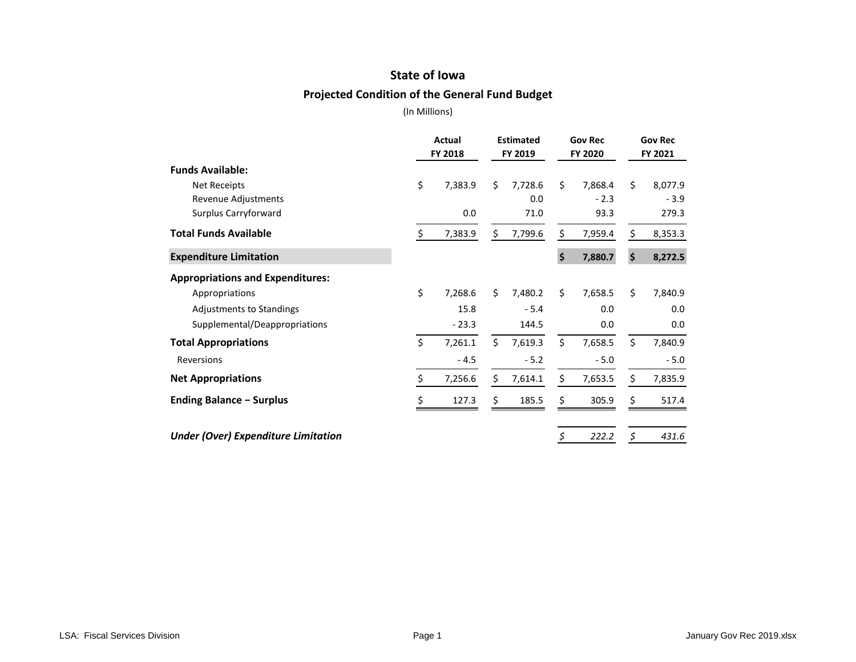## **State of Iowa**

### **Projected Condition of the General Fund Budget**

|                                            | Actual<br>FY 2018 | <b>Estimated</b><br>FY 2019 |         | <b>Gov Rec</b><br>FY 2020 |         | <b>Gov Rec</b><br>FY 2021 |         |
|--------------------------------------------|-------------------|-----------------------------|---------|---------------------------|---------|---------------------------|---------|
| <b>Funds Available:</b>                    |                   |                             |         |                           |         |                           |         |
| <b>Net Receipts</b>                        | \$<br>7,383.9     | \$                          | 7,728.6 | Ś.                        | 7,868.4 | Ś.                        | 8,077.9 |
| Revenue Adjustments                        |                   |                             | 0.0     |                           | $-2.3$  |                           | $-3.9$  |
| Surplus Carryforward                       | 0.0               |                             | 71.0    |                           | 93.3    |                           | 279.3   |
| <b>Total Funds Available</b>               | \$<br>7,383.9     | \$                          | 7,799.6 | \$                        | 7,959.4 | \$                        | 8,353.3 |
| <b>Expenditure Limitation</b>              |                   |                             |         | \$                        | 7,880.7 | \$                        | 8,272.5 |
| <b>Appropriations and Expenditures:</b>    |                   |                             |         |                           |         |                           |         |
| Appropriations                             | \$<br>7,268.6     | Ś.                          | 7,480.2 | \$                        | 7,658.5 | \$                        | 7,840.9 |
| <b>Adjustments to Standings</b>            | 15.8              |                             | $-5.4$  |                           | 0.0     |                           | 0.0     |
| Supplemental/Deappropriations              | $-23.3$           |                             | 144.5   |                           | 0.0     |                           | 0.0     |
| <b>Total Appropriations</b>                | \$<br>7,261.1     | \$                          | 7,619.3 | \$                        | 7,658.5 | \$                        | 7,840.9 |
| Reversions                                 | $-4.5$            |                             | $-5.2$  |                           | $-5.0$  |                           | $-5.0$  |
| <b>Net Appropriations</b>                  | \$<br>7,256.6     | \$                          | 7,614.1 | \$                        | 7,653.5 | \$                        | 7,835.9 |
| <b>Ending Balance - Surplus</b>            | \$<br>127.3       | Ś.                          | 185.5   | \$                        | 305.9   | \$                        | 517.4   |
| <b>Under (Over) Expenditure Limitation</b> |                   |                             |         | \$                        | 222.2   | \$                        | 431.6   |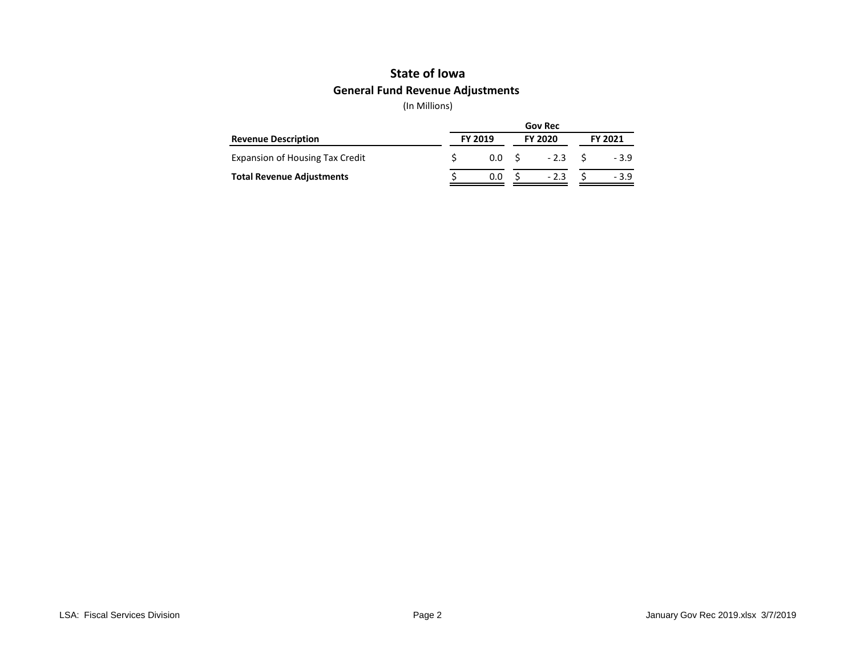# **General Fund Revenue Adjustments State of Iowa**

|                                        | <b>Gov Rec</b> |                  |  |                |                |        |  |  |  |
|----------------------------------------|----------------|------------------|--|----------------|----------------|--------|--|--|--|
| <b>Revenue Description</b>             | <b>FY 2019</b> |                  |  | <b>FY 2020</b> | <b>FY 2021</b> |        |  |  |  |
| <b>Expansion of Housing Tax Credit</b> |                | 0.0 <sub>5</sub> |  | $-2.3$         |                | - 3.9  |  |  |  |
| <b>Total Revenue Adjustments</b>       |                | 0.0              |  | $-2.3$         |                | $-3.9$ |  |  |  |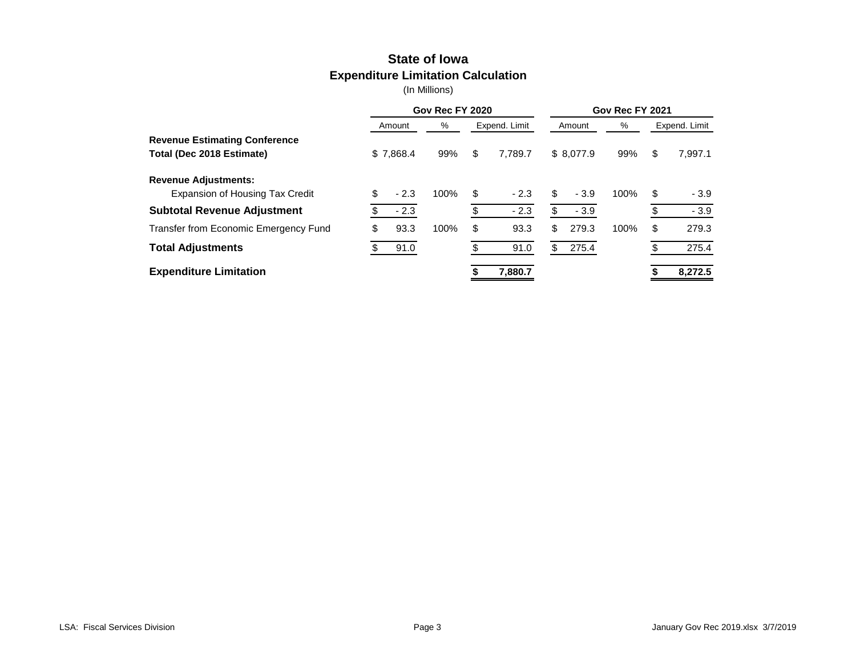## **State of Iowa Expenditure Limitation Calculation**

|                                        | Gov Rec FY 2020 |           |      |    |               | Gov Rec FY 2021 |           |      |    |               |  |
|----------------------------------------|-----------------|-----------|------|----|---------------|-----------------|-----------|------|----|---------------|--|
|                                        |                 | Amount    | %    |    | Expend. Limit |                 | Amount    | %    |    | Expend. Limit |  |
| <b>Revenue Estimating Conference</b>   |                 |           |      |    |               |                 |           |      |    |               |  |
| Total (Dec 2018 Estimate)              |                 | \$7,868.4 | 99%  | \$ | 7.789.7       |                 | \$8,077.9 | 99%  | \$ | 7.997.1       |  |
| <b>Revenue Adjustments:</b>            |                 |           |      |    |               |                 |           |      |    |               |  |
| <b>Expansion of Housing Tax Credit</b> | \$              | $-2.3$    | 100% | \$ | $-2.3$        | \$              | $-3.9$    | 100% | S  | $-3.9$        |  |
| <b>Subtotal Revenue Adjustment</b>     |                 | $-2.3$    |      | \$ | $-2.3$        | \$              | $-3.9$    |      |    | $-3.9$        |  |
| Transfer from Economic Emergency Fund  | \$              | 93.3      | 100% | \$ | 93.3          | \$              | 279.3     | 100% | \$ | 279.3         |  |
| <b>Total Adjustments</b>               |                 | 91.0      |      |    | 91.0          | \$              | 275.4     |      |    | 275.4         |  |
| <b>Expenditure Limitation</b>          |                 |           |      |    | 7,880.7       |                 |           |      |    | 8,272.5       |  |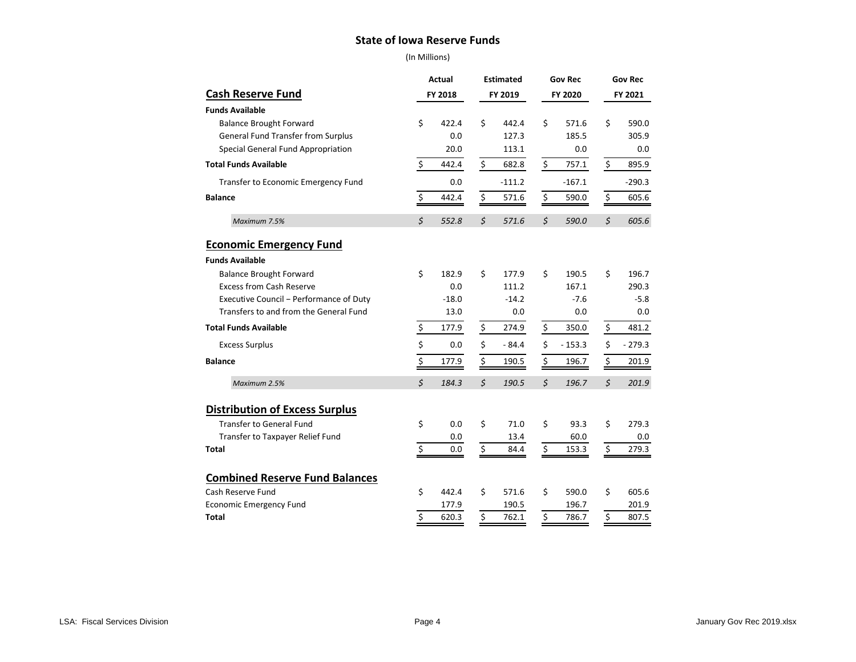#### **State of Iowa Reserve Funds**

|                                                  | Actual<br><b>Estimated</b> |            |                  | <b>Gov Rec</b> |         | <b>Gov Rec</b> |         |              |
|--------------------------------------------------|----------------------------|------------|------------------|----------------|---------|----------------|---------|--------------|
| <b>Cash Reserve Fund</b>                         |                            | FY 2018    |                  | FY 2019        |         | FY 2020        | FY 2021 |              |
| <b>Funds Available</b>                           |                            |            |                  |                |         |                |         |              |
| <b>Balance Brought Forward</b>                   | \$                         | 422.4      | \$               | 442.4          | \$      | 571.6          | \$      | 590.0        |
| General Fund Transfer from Surplus               |                            | 0.0        |                  | 127.3          |         | 185.5          |         | 305.9        |
| Special General Fund Appropriation               |                            | 20.0       |                  | 113.1          |         | 0.0            |         | 0.0          |
| <b>Total Funds Available</b>                     | \$                         | 442.4      | \$               | 682.8          | \$      | 757.1          | \$      | 895.9        |
| Transfer to Economic Emergency Fund              |                            | 0.0        |                  | $-111.2$       |         | $-167.1$       |         | $-290.3$     |
| <b>Balance</b>                                   | \$                         | 442.4      | \$               | 571.6          | \$      | 590.0          | \$      | 605.6        |
| Maximum 7.5%                                     | $\zeta$                    | 552.8      | $\varsigma$      | 571.6          | $\zeta$ | 590.0          | $\zeta$ | 605.6        |
| <b>Economic Emergency Fund</b>                   |                            |            |                  |                |         |                |         |              |
| <b>Funds Available</b>                           |                            |            |                  |                |         |                |         |              |
| <b>Balance Brought Forward</b>                   | \$                         | 182.9      | \$               | 177.9          | \$      | 190.5          | Ś.      | 196.7        |
| <b>Excess from Cash Reserve</b>                  |                            | 0.0        |                  | 111.2          |         | 167.1          |         | 290.3        |
| Executive Council - Performance of Duty          |                            | $-18.0$    |                  | $-14.2$        |         | $-7.6$         |         | $-5.8$       |
| Transfers to and from the General Fund           |                            | 13.0       |                  | 0.0            |         | 0.0            |         | 0.0          |
| <b>Total Funds Available</b>                     | $\frac{1}{2}$              | 177.9      | $\frac{1}{2}$    | 274.9          | \$      | 350.0          | \$      | 481.2        |
| <b>Excess Surplus</b>                            | \$                         | 0.0        | \$               | $-84.4$        | \$      | $-153.3$       | \$      | $-279.3$     |
| <b>Balance</b>                                   | $\overline{\xi}$           | 177.9      | $\overline{\xi}$ | 190.5          | \$      | 196.7          | \$      | 201.9        |
| Maximum 2.5%                                     | \$                         | 184.3      | \$               | 190.5          | \$      | 196.7          | \$      | 201.9        |
|                                                  |                            |            |                  |                |         |                |         |              |
| <b>Distribution of Excess Surplus</b>            |                            |            |                  |                |         |                |         |              |
| <b>Transfer to General Fund</b>                  | \$                         | 0.0<br>0.0 | \$               | 71.0<br>13.4   | \$      | 93.3<br>60.0   | \$      | 279.3<br>0.0 |
| Transfer to Taxpayer Relief Fund<br><b>Total</b> | \$                         | 0.0        | \$               | 84.4           | \$      | 153.3          | \$      | 279.3        |
|                                                  |                            |            |                  |                |         |                |         |              |
| <b>Combined Reserve Fund Balances</b>            |                            |            |                  |                |         |                |         |              |
| Cash Reserve Fund                                | \$                         | 442.4      | \$               | 571.6          | \$      | 590.0          | \$      | 605.6        |
| <b>Economic Emergency Fund</b>                   |                            | 177.9      |                  | 190.5          |         | 196.7          |         | 201.9        |
| Total                                            | Ś                          | 620.3      | \$               | 762.1          | \$      | 786.7          | \$      | 807.5        |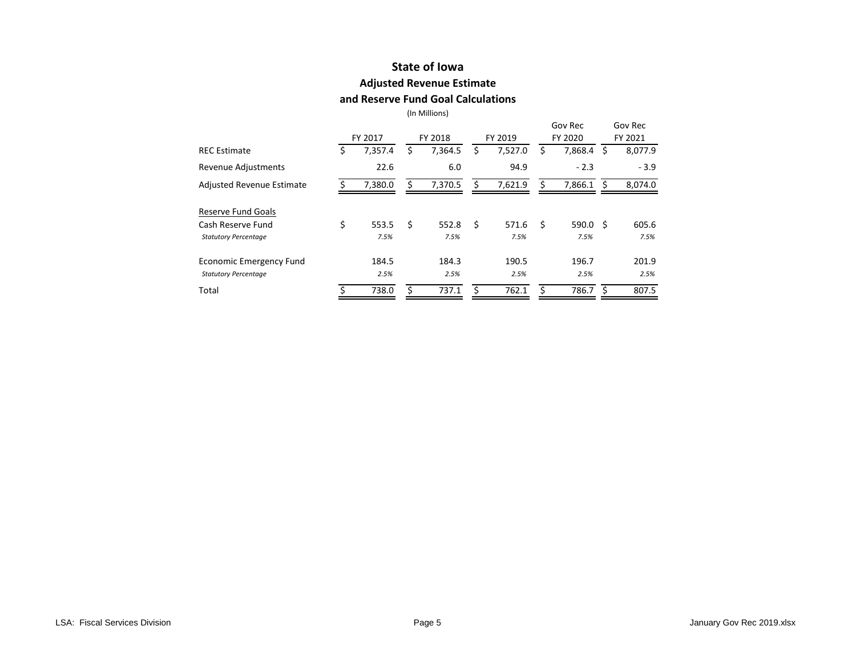# **State of Iowa**

### **Adjusted Revenue Estimate**

#### **and Reserve Fund Goal Calculations**

|                                  |               |    |         |    |         |    | Gov Rec            |    | Gov Rec |
|----------------------------------|---------------|----|---------|----|---------|----|--------------------|----|---------|
|                                  | FY 2017       |    | FY 2018 |    | FY 2019 |    | FY 2020            |    | FY 2021 |
| <b>REC Estimate</b>              | \$<br>7,357.4 | \$ | 7,364.5 | \$ | 7,527.0 | \$ | 7,868.4            | Ŝ. | 8,077.9 |
| Revenue Adjustments              | 22.6          |    | 6.0     |    | 94.9    |    | $-2.3$             |    | $-3.9$  |
| <b>Adjusted Revenue Estimate</b> | 7,380.0       | Ś. | 7,370.5 | Ŝ. | 7,621.9 | Ś. | 7,866.1 \$         |    | 8,074.0 |
| Reserve Fund Goals               |               |    |         |    |         |    |                    |    |         |
| Cash Reserve Fund                | \$<br>553.5   | \$ | 552.8   | Ŝ. | 571.6   | Ŝ. | 590.0 <sup>5</sup> |    | 605.6   |
| <b>Statutory Percentage</b>      | 7.5%          |    | 7.5%    |    | 7.5%    |    | 7.5%               |    | 7.5%    |
| Economic Emergency Fund          | 184.5         |    | 184.3   |    | 190.5   |    | 196.7              |    | 201.9   |
| <b>Statutory Percentage</b>      | 2.5%          |    | 2.5%    |    | 2.5%    |    | 2.5%               |    | 2.5%    |
| Total                            | 738.0         | Ś  | 737.1   |    | 762.1   | ς  | 786.7              | Ŝ  | 807.5   |